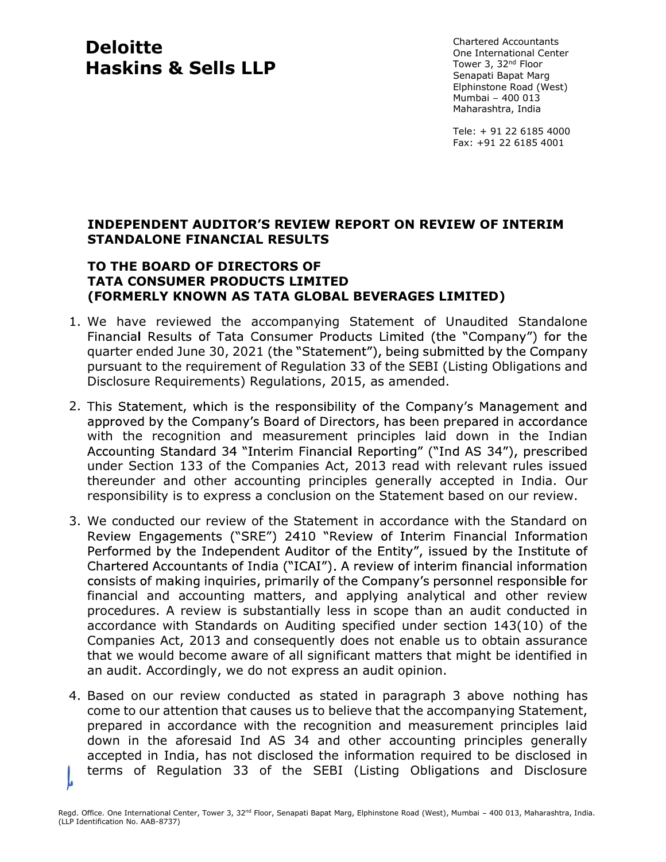# Deloitte Haskins & Sells LLP

Chartered Accountants One International Center Tower 3, 32nd Floor Senapati Bapat Marg Elphinstone Road (West) Mumbai - 400 013 Maharashtra, India

Tele: + 91 22 6185 4000 Fax: +91 22 6185 4001

# **INDEPENDENT AUDITOR'S REVIEW REPORT ON REVIEW OF INTERIM** STANDALONE FINANCIAL RESULTS

### TO THE BOARD OF DIRECTORS OF TATA CONSUMER PRODUCTS LIMITED (FORMERLY KNOWN AS TATA GLOBAL BEVERAGES LIMITED)

- 1. We have reviewed the accompanying Statement of Unaudited Standalone Financial Results of Tata Consumer Products Limited (the "Company") for the quarter ended June 30, 2021 (the "Statement"), being submitted by the Company pursuant to the requirement of Regulation 33 of the SEBI (Listing Obligations and Disclosure Requirements) Regulations, 2015, as amended.
- 2. This Statement, which is the responsibility of the Company's Management and approved by the Company's Board of Directors, has been prepared in accordance with the recognition and measurement principles laid down in the Indian Accounting Standard 34 "Interim Financial Reporting" ("Ind AS 34"), prescribed under Section 133 of the Companies Act, 2013 read with relevant rules issued thereunder and other accounting principles generally accepted in India. Our responsibility is to express a conclusion on the Statement based on our review.
- 3. We conducted our review of the Statement in accordance with the Standard on n and a structure of the structure of the structure of the structure of the structure of the structure of the <br>The structure of the structure of the structure of the structure of the structure of the structure of the struc Performed by the Independent Auditor of the Entity", issued by the Institute of Chartered Accountants of India ("ICAI"). A review of interim financial information consists of making inquiries, primarily of the Company's personnel responsible for financial and accounting matters, and applying analytical and other review procedures. A review is substantially less in scope than an audit conducted in accordance with Standards on Auditing specified under section 143(10) of the Companies Act, 2013 and consequently does not enable us to obtain assurance that we would become aware of all significant matters that might be identified in an audit. Accordingly, we do not express an audit opinion.
- 4. Based on our review conducted as stated in paragraph 3 above nothing has come to our attention that causes us to believe that the accompanying Statement, prepared in accordance with the recognition and measurement principles laid down in the aforesaid Ind AS 34 and other accounting principles generally accepted in India, has not disclosed the information required to be disclosed in terms of Regulation 33 of the SEBI (Listing Obligations and Disclosure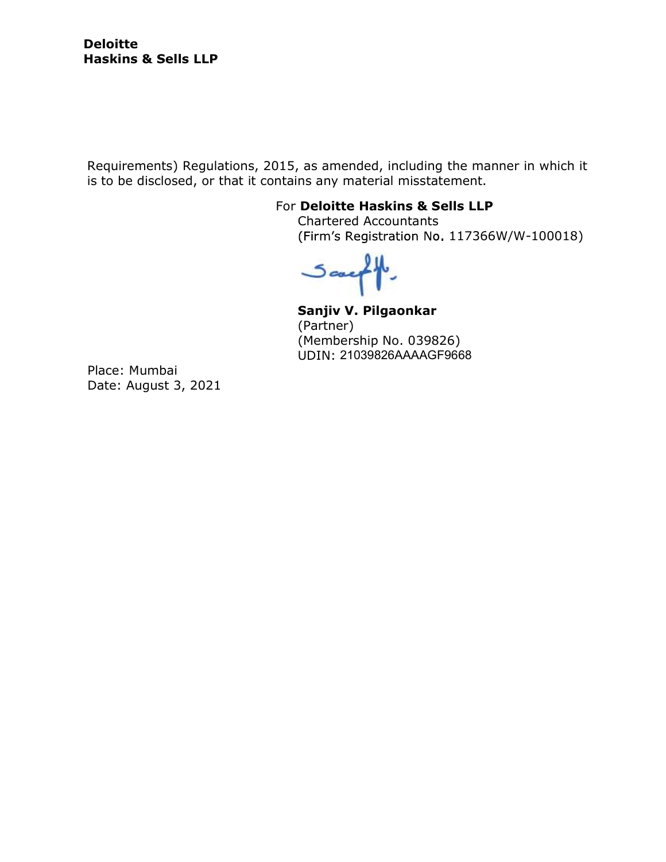Requirements) Regulations, 2015, as amended, including the manner in which it is to be disclosed, or that it contains any material misstatement.

# For Deloitte Haskins & Sells LLP

Chartered Accountants (Firm's Registration No. 117366W/W-100018)

 $5$ caeq

Sanjiv V. Pilgaonkar (Partner) (Membership No. 039826) UDIN: 21039826AAAAGF9668

Place: Mumbai Date: August 3, 2021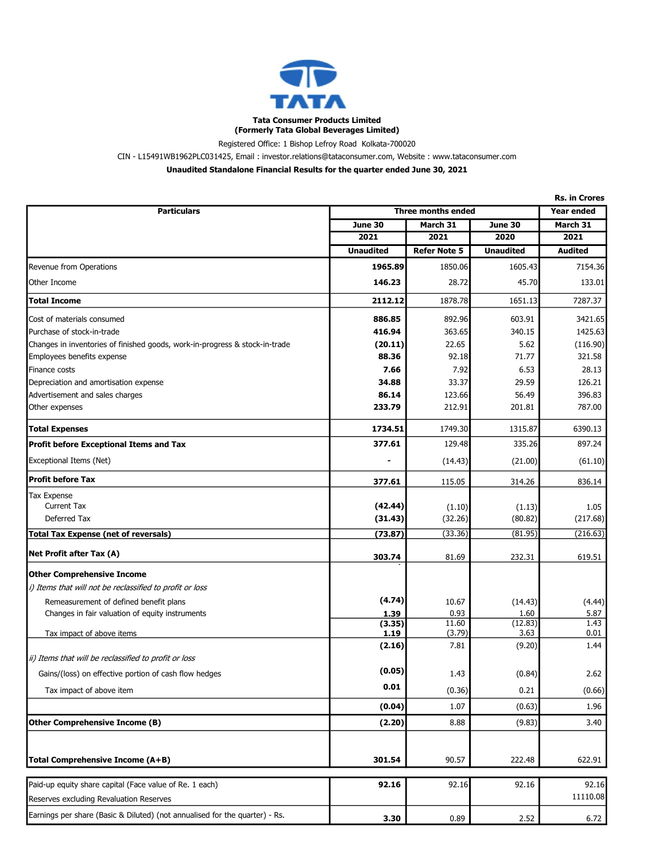

(Formerly Tata Global Beverages Limited) Registered Office: 1 Bishop Lefroy Road Kolkata-700020

CIN - L15491WB1962PLC031425, Email : investor.relations@tataconsumer.com, Website : www.tataconsumer.com

Unaudited Standalone Financial Results for the quarter ended June 30, 2021

|                                                                             | <b>Rs. in Crores</b>      |                     |                  |                   |
|-----------------------------------------------------------------------------|---------------------------|---------------------|------------------|-------------------|
| <b>Particulars</b>                                                          | <b>Three months ended</b> |                     |                  | <b>Year ended</b> |
|                                                                             | June 30                   | March 31            | <b>June 30</b>   | March 31          |
|                                                                             | 2021                      | 2021                | 2020             | 2021              |
|                                                                             | <b>Unaudited</b>          | <b>Refer Note 5</b> | <b>Unaudited</b> | <b>Audited</b>    |
| Revenue from Operations                                                     | 1965.89                   | 1850.06             | 1605.43          | 7154.36           |
| Other Income                                                                | 146.23                    | 28.72               | 45.70            | 133.01            |
| <b>Total Income</b>                                                         | 2112.12                   | 1878.78             | 1651.13          | 7287.37           |
| Cost of materials consumed                                                  | 886.85                    | 892.96              | 603.91           | 3421.65           |
| Purchase of stock-in-trade                                                  | 416.94                    | 363.65              | 340.15           | 1425.63           |
| Changes in inventories of finished goods, work-in-progress & stock-in-trade | (20.11)                   | 22.65               | 5.62             | (116.90)          |
| Employees benefits expense                                                  | 88.36                     | 92.18               | 71.77            | 321.58            |
| Finance costs                                                               | 7.66                      | 7.92                | 6.53             | 28.13             |
| Depreciation and amortisation expense                                       | 34.88                     | 33.37               | 29.59            | 126.21            |
| Advertisement and sales charges                                             | 86.14                     | 123.66              | 56.49            | 396.83            |
| Other expenses                                                              | 233.79                    | 212.91              | 201.81           | 787.00            |
| <b>Total Expenses</b>                                                       | 1734.51                   | 1749.30             | 1315.87          | 6390.13           |
| <b>Profit before Exceptional Items and Tax</b>                              | 377.61                    | 129.48              | 335.26           | 897.24            |
| Exceptional Items (Net)                                                     |                           | (14.43)             | (21.00)          | (61.10)           |
| <b>Profit before Tax</b>                                                    | 377.61                    | 115.05              | 314.26           | 836.14            |
| <b>Tax Expense</b>                                                          |                           |                     |                  |                   |
| <b>Current Tax</b>                                                          | (42.44)                   | (1.10)              | (1.13)           | 1.05              |
| Deferred Tax                                                                | (31.43)                   | (32.26)             | (80.82)          | (217.68)          |
| <b>Total Tax Expense (net of reversals)</b>                                 | (73.87)                   | (33.36)             | (81.95)          | (216.63)          |
| Net Profit after Tax (A)                                                    | 303.74                    | 81.69               | 232.31           | 619.51            |
| <b>Other Comprehensive Income</b>                                           |                           |                     |                  |                   |
| i) Items that will not be reclassified to profit or loss                    |                           |                     |                  |                   |
| Remeasurement of defined benefit plans                                      | (4.74)                    | 10.67               | (14.43)          | (4.44)            |
| Changes in fair valuation of equity instruments                             | 1.39                      | 0.93                | 1.60             | 5.87              |
|                                                                             | (3.35)                    | 11.60               | (12.83)          | 1.43              |
| Tax impact of above items                                                   | 1.19                      | (3.79)<br>7.81      | 3.63             | 0.01<br>1.44      |
| ii) Items that will be reclassified to profit or loss                       | (2.16)                    |                     | (9.20)           |                   |
| Gains/(loss) on effective portion of cash flow hedges                       | (0.05)                    | 1.43                | (0.84)           | 2.62              |
| Tax impact of above item                                                    | 0.01                      | (0.36)              | 0.21             | (0.66)            |
|                                                                             | (0.04)                    | 1.07                | (0.63)           | 1.96              |
| Other Comprehensive Income (B)                                              | (2.20)                    | 8.88                | (9.83)           | 3.40              |
|                                                                             |                           |                     |                  |                   |
| <b>Total Comprehensive Income (A+B)</b>                                     | 301.54                    | 90.57               | 222.48           | 622.91            |
|                                                                             |                           |                     |                  |                   |
| Paid-up equity share capital (Face value of Re. 1 each)                     | 92.16                     | 92.16               | 92.16            | 92.16             |
| Reserves excluding Revaluation Reserves                                     |                           |                     |                  | 11110.08          |
| Earnings per share (Basic & Diluted) (not annualised for the quarter) - Rs. | 3.30                      | 0.89                | 2.52             | 6.72              |